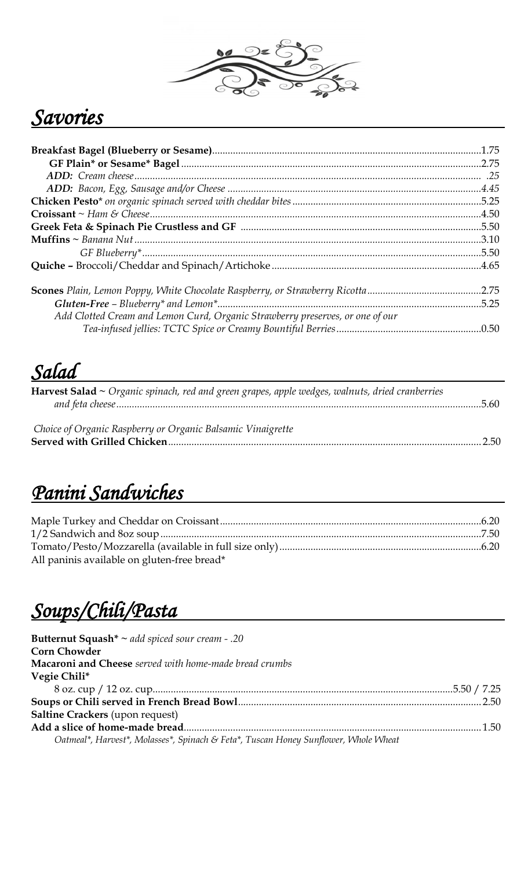

### *Savories*

|                                                                               | 5.25 |
|-------------------------------------------------------------------------------|------|
| Add Clotted Cream and Lemon Curd, Organic Strawberry preserves, or one of our |      |
|                                                                               |      |

#### *Salad*

| <b>Harvest Salad</b> $\sim$ Organic spinach, red and green grapes, apple wedges, walnuts, dried cranberries |  |
|-------------------------------------------------------------------------------------------------------------|--|
|                                                                                                             |  |
|                                                                                                             |  |
| Choice of Organic Raspberry or Organic Balsamic Vinaigrette                                                 |  |
|                                                                                                             |  |

## *Panini Sandwiches*

| All paninis available on gluten-free bread* |  |
|---------------------------------------------|--|

# *Soups/Chili/Pasta*

| <b>Butternut Squash</b> $* \sim$ add spiced sour cream - .20                        |  |
|-------------------------------------------------------------------------------------|--|
| <b>Corn Chowder</b>                                                                 |  |
| <b>Macaroni and Cheese</b> served with home-made bread crumbs                       |  |
| Vegie Chili*                                                                        |  |
|                                                                                     |  |
|                                                                                     |  |
| <b>Saltine Crackers</b> (upon request)                                              |  |
|                                                                                     |  |
| Oatmeal*, Harvest*, Molasses*, Spinach & Feta*, Tuscan Honey Sunflower, Whole Wheat |  |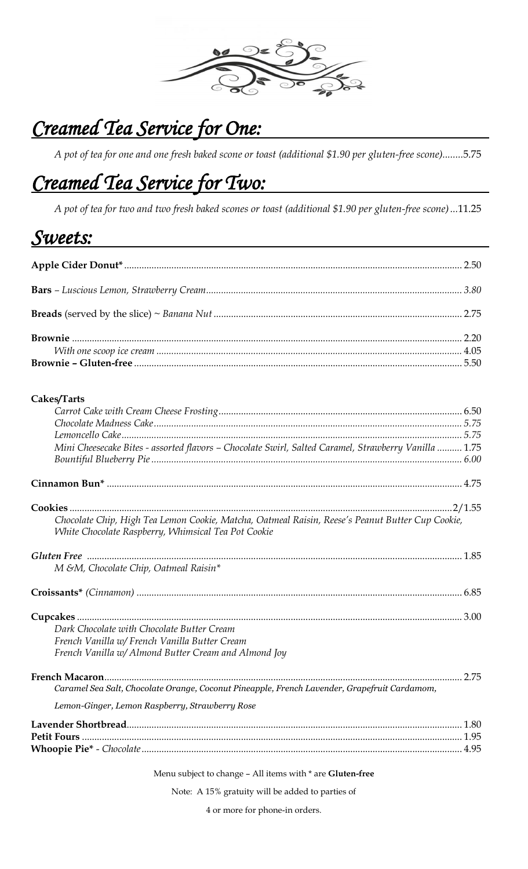

# *Creamed Tea Service for One:*

*A pot of tea for one and one fresh baked scone or toast (additional \$1.90 per gluten-free scone)........*5.75

## *Creamed Tea Service for Two:*

*A pot of tea for two and two fresh baked scones or toast (additional \$1.90 per gluten-free scone)...*11.25

#### *Sweets:*

#### **Cakes/Tarts**

| Mini Cheesecake Bites - assorted flavors - Chocolate Swirl, Salted Caramel, Strawberry Vanilla  1.75                                                                                                                                                                                             |
|--------------------------------------------------------------------------------------------------------------------------------------------------------------------------------------------------------------------------------------------------------------------------------------------------|
|                                                                                                                                                                                                                                                                                                  |
|                                                                                                                                                                                                                                                                                                  |
|                                                                                                                                                                                                                                                                                                  |
| Chocolate Chip, High Tea Lemon Cookie, Matcha, Oatmeal Raisin, Reese's Peanut Butter Cup Cookie,<br>White Chocolate Raspberry, Whimsical Tea Pot Cookie                                                                                                                                          |
|                                                                                                                                                                                                                                                                                                  |
| M &M, Chocolate Chip, Oatmeal Raisin*                                                                                                                                                                                                                                                            |
|                                                                                                                                                                                                                                                                                                  |
|                                                                                                                                                                                                                                                                                                  |
| Dark Chocolate with Chocolate Butter Cream                                                                                                                                                                                                                                                       |
| French Vanilla w/ French Vanilla Butter Cream                                                                                                                                                                                                                                                    |
| French Vanilla w/ Almond Butter Cream and Almond Joy                                                                                                                                                                                                                                             |
|                                                                                                                                                                                                                                                                                                  |
| Caramel Sea Salt, Chocolate Orange, Coconut Pineapple, French Lavender, Grapefruit Cardamom,                                                                                                                                                                                                     |
| Lemon-Ginger, Lemon Raspberry, Strawberry Rose                                                                                                                                                                                                                                                   |
|                                                                                                                                                                                                                                                                                                  |
|                                                                                                                                                                                                                                                                                                  |
|                                                                                                                                                                                                                                                                                                  |
| Menu subject to change - All items with * are Gluten-free                                                                                                                                                                                                                                        |
| $\mathbf{M}$ ( $\mathbf{A}$ 4 m ( $\mathbf{M}$ ) ( $\mathbf{M}$ ) ( $\mathbf{M}$ ) ( $\mathbf{M}$ ) ( $\mathbf{M}$ ) ( $\mathbf{M}$ ) ( $\mathbf{M}$ ) ( $\mathbf{M}$ ) ( $\mathbf{M}$ ) ( $\mathbf{M}$ ) ( $\mathbf{M}$ ) ( $\mathbf{M}$ ) ( $\mathbf{M}$ ) ( $\mathbf{M}$ ) ( $\mathbf{M}$ ) ( |

Note: A 15% gratuity will be added to parties of

4 or more for phone-in orders.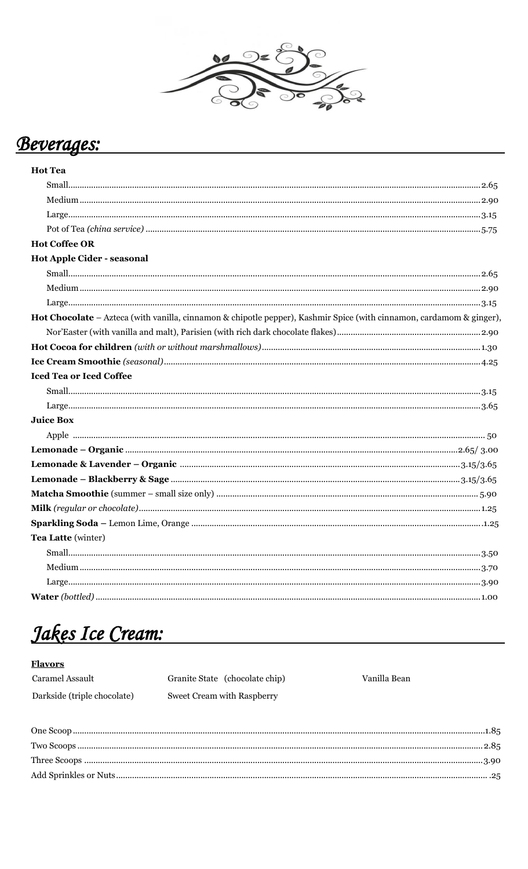

#### Beverages:

| <b>Hot Tea</b>                                                                                                       |
|----------------------------------------------------------------------------------------------------------------------|
|                                                                                                                      |
|                                                                                                                      |
|                                                                                                                      |
|                                                                                                                      |
| <b>Hot Coffee OR</b>                                                                                                 |
| <b>Hot Apple Cider - seasonal</b>                                                                                    |
|                                                                                                                      |
|                                                                                                                      |
|                                                                                                                      |
| Hot Chocolate - Azteca (with vanilla, cinnamon & chipotle pepper), Kashmir Spice (with cinnamon, cardamom & ginger), |
|                                                                                                                      |
|                                                                                                                      |
|                                                                                                                      |
| <b>Iced Tea or Iced Coffee</b>                                                                                       |
|                                                                                                                      |
|                                                                                                                      |
| <b>Juice Box</b>                                                                                                     |
|                                                                                                                      |
|                                                                                                                      |
|                                                                                                                      |
|                                                                                                                      |
|                                                                                                                      |
|                                                                                                                      |
|                                                                                                                      |
| Tea Latte (winter)                                                                                                   |
|                                                                                                                      |
|                                                                                                                      |
|                                                                                                                      |
|                                                                                                                      |

# Jakes Ice Cream:

**Flavors** Caramel Assault Granite State (chocolate chip) Darkside (triple chocolate) Sweet Cream with Raspberry

Vanilla Bean